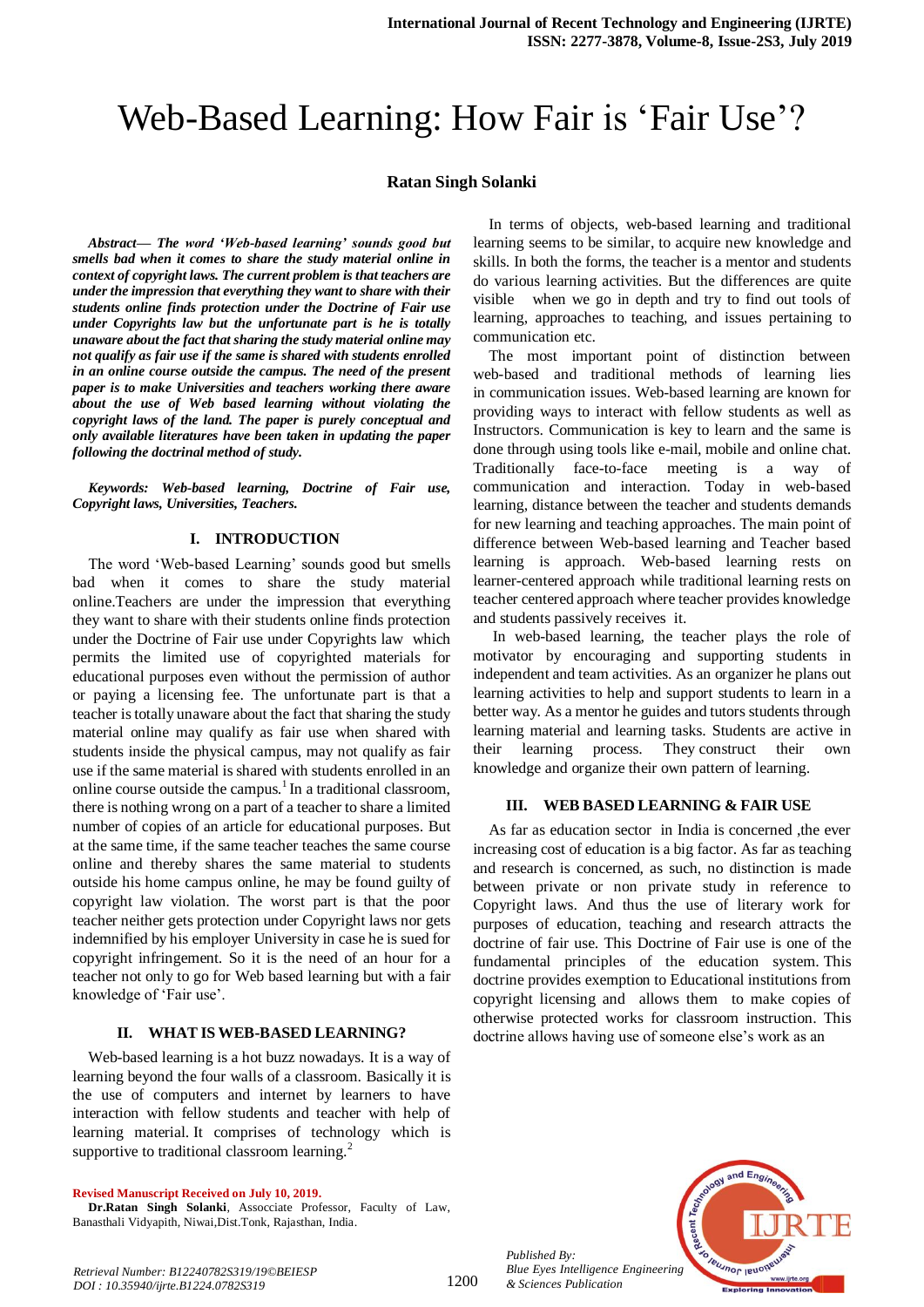# Web-Based Learning: How Fair is 'Fair Use'?

#### **Ratan Singh Solanki**

*Abstract***—** *The word 'Web-based learning' sounds good but smells bad when it comes to share the study material online in context of copyright laws. The current problem is that teachers are under the impression that everything they want to share with their students online finds protection under the Doctrine of Fair use under Copyrights law but the unfortunate part is he is totally unaware about the fact that sharing the study material online may not qualify as fair use if the same is shared with students enrolled in an online course outside the campus. The need of the present paper is to make Universities and teachers working there aware about the use of Web based learning without violating the copyright laws of the land. The paper is purely conceptual and only available literatures have been taken in updating the paper following the doctrinal method of study.*

*Keywords: Web-based learning, Doctrine of Fair use, Copyright laws, Universities, Teachers.*

#### **I. INTRODUCTION**

The word 'Web-based Learning' sounds good but smells bad when it comes to share the study material online.Teachers are under the impression that everything they want to share with their students online finds protection under the Doctrine of Fair use under Copyrights law which permits the limited use of copyrighted materials for educational purposes even without the permission of author or paying a licensing fee. The unfortunate part is that a teacher is totally unaware about the fact that sharing the study material online may qualify as fair use when shared with students inside the physical campus, may not qualify as fair use if the same material is shared with students enrolled in an online course outside the campus.<sup>1</sup> In a traditional classroom, there is nothing wrong on a part of a teacher to share a limited number of copies of an article for educational purposes. But at the same time, if the same teacher teaches the same course online and thereby shares the same material to students outside his home campus online, he may be found guilty of copyright law violation. The worst part is that the poor teacher neither gets protection under Copyright laws nor gets indemnified by his employer University in case he is sued for copyright infringement. So it is the need of an hour for a teacher not only to go for Web based learning but with a fair knowledge of 'Fair use'.

#### **II. WHAT IS WEB-BASED LEARNING?**

Web-based learning is a hot buzz nowadays. It is a way of learning beyond the four walls of a classroom. Basically it is the use of computers and internet by learners to have interaction with fellow students and teacher with help of learning material. It comprises of technology which is supportive to traditional classroom learning.<sup>2</sup>

**Revised Manuscript Received on July 10, 2019.**

**Dr.Ratan Singh Solanki**, Assocciate Professor, Faculty of Law, Banasthali Vidyapith, Niwai,Dist.Tonk, Rajasthan, India.

In terms of objects, web-based learning and traditional learning seems to be similar, to acquire new knowledge and skills. In both the forms, the teacher is a mentor and students do various learning activities. But the differences are quite visible when we go in depth and try to find out tools of learning, approaches to teaching, and issues pertaining to communication etc.

The most important point of distinction between web-based and traditional methods of learning lies in communication issues. Web-based learning are known for providing ways to interact with fellow students as well as Instructors. Communication is key to learn and the same is done through using tools like e-mail, mobile and online chat. Traditionally face-to-face meeting is a way of communication and interaction. Today in web-based learning, distance between the teacher and students demands for new learning and teaching approaches. The main point of difference between Web-based learning and Teacher based learning is approach. Web-based learning rests on learner-centered approach while traditional learning rests on teacher centered approach where teacher provides knowledge and students passively receives it.

In web-based learning, the teacher plays the role of motivator by encouraging and supporting students in independent and team activities. As an organizer he plans out learning activities to help and support students to learn in a better way. As a mentor he guides and tutors students through learning material and learning tasks. Students are active in their learning process. They construct their own knowledge and organize their own pattern of learning.

#### **III. WEB BASED LEARNING & FAIR USE**

As far as education sector in India is concerned ,the ever increasing cost of education is a big factor. As far as teaching and research is concerned, as such, no distinction is made between private or non private study in reference to Copyright laws. And thus the use of literary work for purposes of education, teaching and research attracts the doctrine of fair use. This Doctrine of Fair use is one of the fundamental principles of the education system. This doctrine provides exemption to Educational institutions from copyright licensing and allows them to make copies of otherwise protected works for classroom instruction. This doctrine allows having use of someone else's work as an



*Published By: Blue Eyes Intelligence Engineering & Sciences Publication* 

1200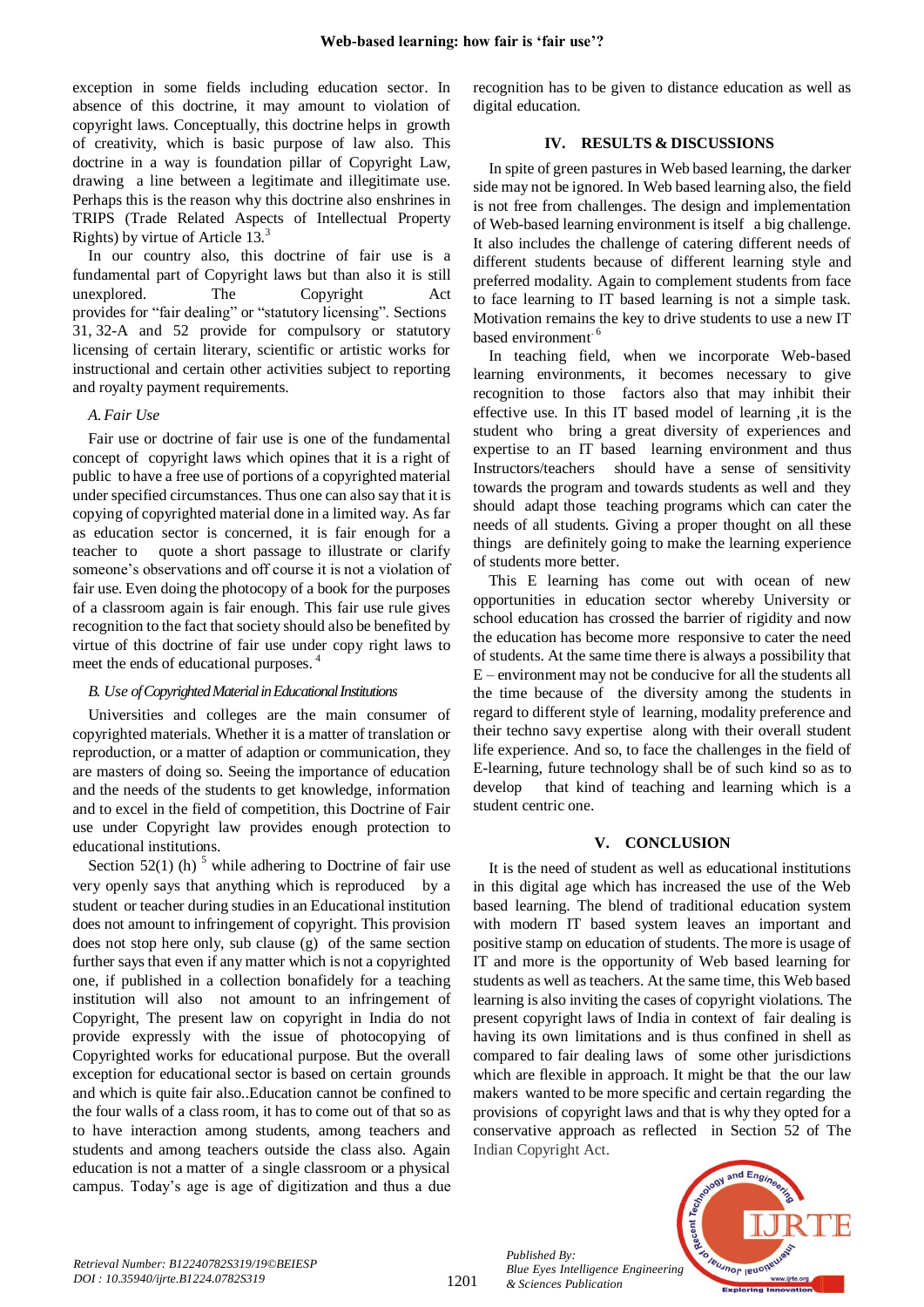exception in some fields including education sector. In absence of this doctrine, it may amount to violation of copyright laws. Conceptually, this doctrine helps in growth of creativity, which is basic purpose of law also. This doctrine in a way is foundation pillar of Copyright Law, drawing a line between a legitimate and illegitimate use. Perhaps this is the reason why this doctrine also enshrines in TRIPS (Trade Related Aspects of Intellectual Property Rights) by virtue of Article 13.<sup>3</sup>

In our country also, this doctrine of fair use is a fundamental part of Copyright laws but than also it is still unexplored. The Copyright Act provides for "fair dealing" or "statutory licensing". Sections 31, 32-A and 52 provide for compulsory or statutory licensing of certain literary, scientific or artistic works for instructional and certain other activities subject to reporting and royalty payment requirements.

## *A.Fair Use*

Fair use or doctrine of fair use is one of the fundamental concept of copyright laws which opines that it is a right of public to have a free use of portions of a copyrighted material under specified circumstances. Thus one can also say that it is copying of copyrighted material done in a limited way. As far as education sector is concerned, it is fair enough for a teacher to quote a short passage to illustrate or clarify someone's observations and off course it is not a violation of fair use. Even doing the photocopy of a book for the purposes of a classroom again is fair enough. This fair use rule gives recognition to the fact that society should also be benefited by virtue of this doctrine of fair use under copy right laws to meet the ends of educational purposes.<sup>4</sup>

## *B. Use of Copyrighted Material in Educational Institutions*

Universities and colleges are the main consumer of copyrighted materials. Whether it is a matter of translation or reproduction, or a matter of adaption or communication, they are masters of doing so. Seeing the importance of education and the needs of the students to get knowledge, information and to excel in the field of competition, this Doctrine of Fair use under Copyright law provides enough protection to educational institutions.

Section 52(1) (h)  $<sup>5</sup>$  while adhering to Doctrine of fair use</sup> very openly says that anything which is reproduced by a student or teacher during studies in an Educational institution does not amount to infringement of copyright. This provision does not stop here only, sub clause (g) of the same section further says that even if any matter which is not a copyrighted one, if published in a collection bonafidely for a teaching institution will also not amount to an infringement of Copyright, The present law on copyright in India do not provide expressly with the issue of photocopying of Copyrighted works for educational purpose. But the overall exception for educational sector is based on certain grounds and which is quite fair also..Education cannot be confined to the four walls of a class room, it has to come out of that so as to have interaction among students, among teachers and students and among teachers outside the class also. Again education is not a matter of a single classroom or a physical campus. Today's age is age of digitization and thus a due recognition has to be given to distance education as well as digital education.

# **IV. RESULTS & DISCUSSIONS**

In spite of green pastures in Web based learning, the darker side may not be ignored. In Web based learning also, the field is not free from challenges. The design and implementation of Web-based learning environment is itself a big challenge. It also includes the challenge of catering different needs of different students because of different learning style and preferred modality. Again to complement students from face to face learning to IT based learning is not a simple task. Motivation remains the key to drive students to use a new IT based environment.<sup>6</sup>

In teaching field, when we incorporate Web-based learning environments, it becomes necessary to give recognition to those factors also that may inhibit their effective use. In this IT based model of learning ,it is the student who bring a great diversity of experiences and expertise to an IT based learning environment and thus Instructors/teachers should have a sense of sensitivity towards the program and towards students as well and they should adapt those teaching programs which can cater the needs of all students. Giving a proper thought on all these things are definitely going to make the learning experience of students more better.

This E learning has come out with ocean of new opportunities in education sector whereby University or school education has crossed the barrier of rigidity and now the education has become more responsive to cater the need of students. At the same time there is always a possibility that E – environment may not be conducive for all the students all the time because of the diversity among the students in regard to different style of learning, modality preference and their techno savy expertise along with their overall student life experience. And so, to face the challenges in the field of E-learning, future technology shall be of such kind so as to develop that kind of teaching and learning which is a student centric one.

# **V. CONCLUSION**

It is the need of student as well as educational institutions in this digital age which has increased the use of the Web based learning. The blend of traditional education system with modern IT based system leaves an important and positive stamp on education of students. The more is usage of IT and more is the opportunity of Web based learning for students as well as teachers. At the same time, this Web based learning is also inviting the cases of copyright violations. The present copyright laws of India in context of fair dealing is having its own limitations and is thus confined in shell as compared to fair dealing laws of some other jurisdictions which are flexible in approach. It might be that the our law makers wanted to be more specific and certain regarding the provisions of copyright laws and that is why they opted for a conservative approach as reflected in Section 52 of The Indian Copyright Act.



*Published By:*

*& Sciences Publication*